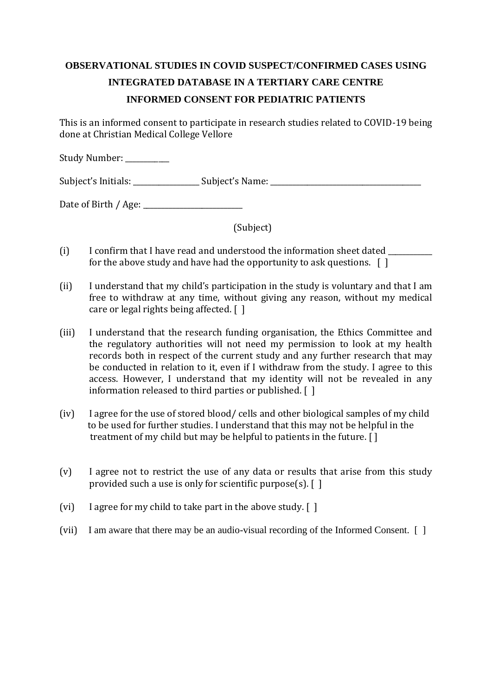## **OBSERVATIONAL STUDIES IN COVID SUSPECT/CONFIRMED CASES USING INTEGRATED DATABASE IN A TERTIARY CARE CENTRE INFORMED CONSENT FOR PEDIATRIC PATIENTS**

This is an informed consent to participate in research studies related to COVID-19 being done at Christian Medical College Vellore

Study Number: \_\_\_\_\_\_\_\_\_

Subject's Initials: \_\_\_\_\_\_\_\_\_\_\_\_\_\_\_\_\_\_ Subject's Name: \_\_\_\_\_\_\_\_\_\_\_\_\_\_\_\_\_\_\_\_\_\_\_\_\_\_\_\_\_\_\_\_\_\_\_\_\_\_\_\_\_

Date of Birth / Age: \_\_\_\_\_\_\_\_\_\_\_\_\_\_\_\_\_\_\_\_\_\_\_\_\_\_\_

(Subject)

- (i) I confirm that I have read and understood the information sheet dated for the above study and have had the opportunity to ask questions.  $\begin{bmatrix} 1 \end{bmatrix}$
- (ii) I understand that my child's participation in the study is voluntary and that I am free to withdraw at any time, without giving any reason, without my medical care or legal rights being affected. [ ]
- (iii) I understand that the research funding organisation, the Ethics Committee and the regulatory authorities will not need my permission to look at my health records both in respect of the current study and any further research that may be conducted in relation to it, even if I withdraw from the study. I agree to this access. However, I understand that my identity will not be revealed in any information released to third parties or published. [ ]
- (iv) I agree for the use of stored blood/ cells and other biological samples of my child to be used for further studies. I understand that this may not be helpful in the treatment of my child but may be helpful to patients in the future. [ ]
- (v) I agree not to restrict the use of any data or results that arise from this study provided such a use is only for scientific purpose(s). [ ]
- (vi) I agree for my child to take part in the above study. [ ]
- (vii) I am aware that there may be an audio-visual recording of the Informed Consent. [ ]